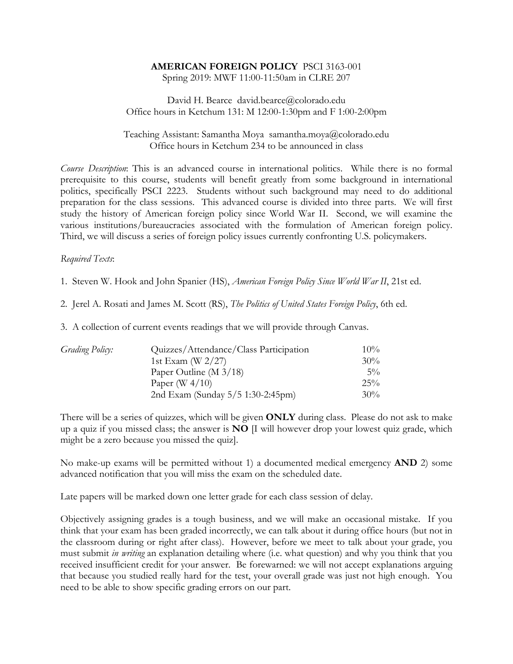# **AMERICAN FOREIGN POLICY** PSCI 3163-001

Spring 2019: MWF 11:00-11:50am in CLRE 207

#### David H. Bearce david.bearce@colorado.edu Office hours in Ketchum 131: M 12:00-1:30pm and F 1:00-2:00pm

#### Teaching Assistant: Samantha Moya samantha.moya@colorado.edu Office hours in Ketchum 234 to be announced in class

*Course Description*: This is an advanced course in international politics. While there is no formal prerequisite to this course, students will benefit greatly from some background in international politics, specifically PSCI 2223. Students without such background may need to do additional preparation for the class sessions. This advanced course is divided into three parts. We will first study the history of American foreign policy since World War II. Second, we will examine the various institutions/bureaucracies associated with the formulation of American foreign policy. Third, we will discuss a series of foreign policy issues currently confronting U.S. policymakers.

## *Required Texts*:

1. Steven W. Hook and John Spanier (HS), *American Foreign Policy Since World War II*, 21st ed.

2. Jerel A. Rosati and James M. Scott (RS), *The Politics of United States Foreign Policy*, 6th ed.

3. A collection of current events readings that we will provide through Canvas.

| <i>Grading Policy:</i> | Quizzes/Attendance/Class Participation | $10\%$ |
|------------------------|----------------------------------------|--------|
|                        | 1st Exam (W $2/27$ )                   | $30\%$ |
|                        | Paper Outline (M $3/18$ )              | $5\%$  |
|                        | Paper (W $4/10$ )                      | $25\%$ |
|                        | 2nd Exam (Sunday 5/5 1:30-2:45pm)      | $30\%$ |

There will be a series of quizzes, which will be given **ONLY** during class. Please do not ask to make up a quiz if you missed class; the answer is **NO** [I will however drop your lowest quiz grade, which might be a zero because you missed the quiz].

No make-up exams will be permitted without 1) a documented medical emergency **AND** 2) some advanced notification that you will miss the exam on the scheduled date.

Late papers will be marked down one letter grade for each class session of delay.

Objectively assigning grades is a tough business, and we will make an occasional mistake. If you think that your exam has been graded incorrectly, we can talk about it during office hours (but not in the classroom during or right after class). However, before we meet to talk about your grade, you must submit *in writing* an explanation detailing where (i.e. what question) and why you think that you received insufficient credit for your answer. Be forewarned: we will not accept explanations arguing that because you studied really hard for the test, your overall grade was just not high enough. You need to be able to show specific grading errors on our part.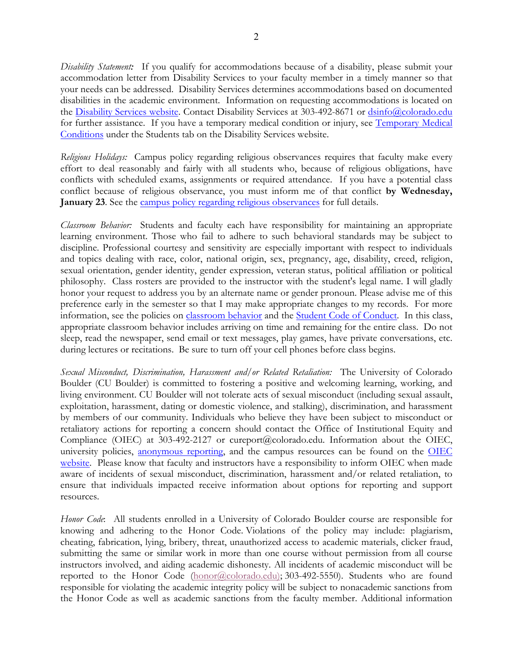*Disability Statement:*If you qualify for accommodations because of a disability, please submit your accommodation letter from Disability Services to your faculty member in a timely manner so that your needs can be addressed. Disability Services determines accommodations based on documented disabilities in the academic environment. Information on requesting accommodations is located on the Disability Services website. Contact Disability Services at 303-492-8671 or dsinfo@colorado.edu for further assistance. If you have a temporary medical condition or injury, see Temporary Medical Conditions under the Students tab on the Disability Services website.

*Religious Holidays:* Campus policy regarding religious observances requires that faculty make every effort to deal reasonably and fairly with all students who, because of religious obligations, have conflicts with scheduled exams, assignments or required attendance. If you have a potential class conflict because of religious observance, you must inform me of that conflict **by Wednesday, January 23**. See the campus policy regarding religious observances for full details.

*Classroom Behavior:* Students and faculty each have responsibility for maintaining an appropriate learning environment. Those who fail to adhere to such behavioral standards may be subject to discipline. Professional courtesy and sensitivity are especially important with respect to individuals and topics dealing with race, color, national origin, sex, pregnancy, age, disability, creed, religion, sexual orientation, gender identity, gender expression, veteran status, political affiliation or political philosophy. Class rosters are provided to the instructor with the student's legal name. I will gladly honor your request to address you by an alternate name or gender pronoun. Please advise me of this preference early in the semester so that I may make appropriate changes to my records. For more information, see the policies on classroom behavior and the Student Code of Conduct. In this class, appropriate classroom behavior includes arriving on time and remaining for the entire class. Do not sleep, read the newspaper, send email or text messages, play games, have private conversations, etc. during lectures or recitations. Be sure to turn off your cell phones before class begins.

*Sexual Misconduct, Discrimination, Harassment and/or Related Retaliation:* The University of Colorado Boulder (CU Boulder) is committed to fostering a positive and welcoming learning, working, and living environment. CU Boulder will not tolerate acts of sexual misconduct (including sexual assault, exploitation, harassment, dating or domestic violence, and stalking), discrimination, and harassment by members of our community. Individuals who believe they have been subject to misconduct or retaliatory actions for reporting a concern should contact the Office of Institutional Equity and Compliance (OIEC) at 303-492-2127 or cureport@colorado.edu. Information about the OIEC, university policies, anonymous reporting, and the campus resources can be found on the OIEC website. Please know that faculty and instructors have a responsibility to inform OIEC when made aware of incidents of sexual misconduct, discrimination, harassment and/or related retaliation, to ensure that individuals impacted receive information about options for reporting and support resources.

*Honor Code*: All students enrolled in a University of Colorado Boulder course are responsible for knowing and adhering to the Honor Code. Violations of the policy may include: plagiarism, cheating, fabrication, lying, bribery, threat, unauthorized access to academic materials, clicker fraud, submitting the same or similar work in more than one course without permission from all course instructors involved, and aiding academic dishonesty. All incidents of academic misconduct will be reported to the Honor Code (honor@colorado.edu); 303-492-5550). Students who are found responsible for violating the academic integrity policy will be subject to nonacademic sanctions from the Honor Code as well as academic sanctions from the faculty member. Additional information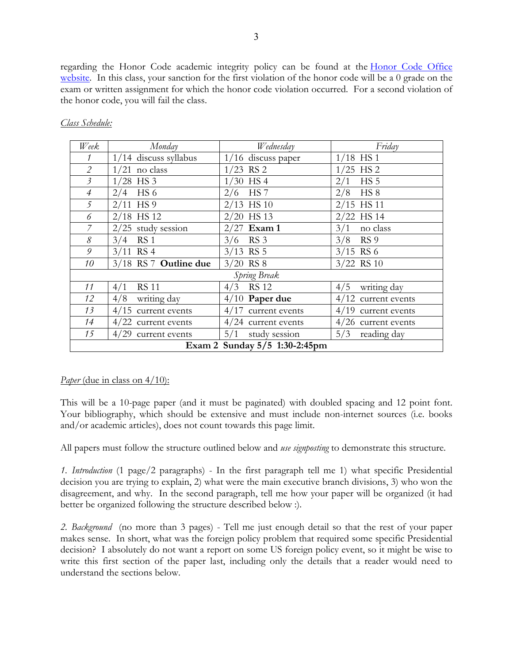regarding the Honor Code academic integrity policy can be found at the Honor Code Office website. In this class, your sanction for the first violation of the honor code will be a 0 grade on the exam or written assignment for which the honor code violation occurred. For a second violation of the honor code, you will fail the class.

| Week                          | Monday                  | Wednesday             | Friday                 |  |
|-------------------------------|-------------------------|-----------------------|------------------------|--|
| 1                             | $1/14$ discuss syllabus | 1/16 discuss paper    | $1/18$ HS 1            |  |
| $\overline{2}$                | $1/21$ no class         | $1/23$ RS 2           | $1/25$ HS 2            |  |
| $\mathfrak{Z}$                | $1/28$ HS 3             | $1/30$ HS 4           | HS <sub>5</sub><br>2/1 |  |
| $\overline{4}$                | $2/4$ HS 6              | $2/6$ HS 7            | 2/8<br>HS <sub>8</sub> |  |
| 5                             | $2/11$ HS 9             | $2/13$ HS 10          | $2/15$ HS 11           |  |
| 6                             | $2/18$ HS 12            | $2/20$ HS 13          | $2/22$ HS 14           |  |
| 7                             | $2/25$ study session    | $2/27$ Exam 1         | 3/1<br>no class        |  |
| 8                             | $3/4$ RS 1              | $3/6$ RS 3            | $3/8$ RS 9             |  |
| 9                             | $3/11$ RS 4             | $3/13$ RS 5           | $3/15$ RS 6            |  |
| 10                            | 3/18 RS 7 Outline due   | $3/20$ RS 8           | $3/22$ RS 10           |  |
| Spring Break                  |                         |                       |                        |  |
| 11                            | <b>RS 11</b><br>4/1     | $4/3$ RS 12           | writing day<br>4/5     |  |
| 12                            | 4/8 writing day         | $4/10$ Paper due      | $4/12$ current events  |  |
| 13                            | $4/15$ current events   | $4/17$ current events | $4/19$ current events  |  |
| 14                            | $4/22$ current events   | $4/24$ current events | $4/26$ current events  |  |
| 15                            | $4/29$ current events   | 5/1<br>study session  | 5/3<br>reading day     |  |
| Exam 2 Sunday 5/5 1:30-2:45pm |                         |                       |                        |  |

## *Class Schedule:*

## *Paper* (due in class on 4/10):

This will be a 10-page paper (and it must be paginated) with doubled spacing and 12 point font. Your bibliography, which should be extensive and must include non-internet sources (i.e. books and/or academic articles), does not count towards this page limit.

All papers must follow the structure outlined below and *use signposting* to demonstrate this structure.

*1. Introduction* (1 page/2 paragraphs) - In the first paragraph tell me 1) what specific Presidential decision you are trying to explain, 2) what were the main executive branch divisions, 3) who won the disagreement, and why. In the second paragraph, tell me how your paper will be organized (it had better be organized following the structure described below :).

*2. Background* (no more than 3 pages) - Tell me just enough detail so that the rest of your paper makes sense. In short, what was the foreign policy problem that required some specific Presidential decision? I absolutely do not want a report on some US foreign policy event, so it might be wise to write this first section of the paper last, including only the details that a reader would need to understand the sections below.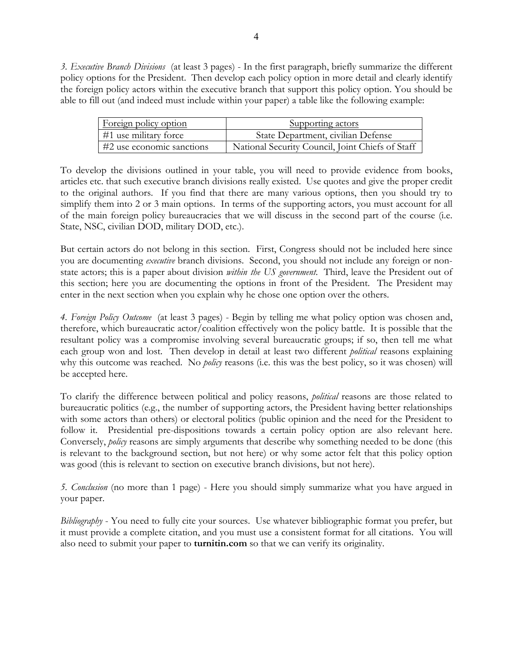*3. Executive Branch Divisions* (at least 3 pages) - In the first paragraph, briefly summarize the different policy options for the President. Then develop each policy option in more detail and clearly identify the foreign policy actors within the executive branch that support this policy option. You should be able to fill out (and indeed must include within your paper) a table like the following example:

| Foreign policy option     | Supporting actors                                |
|---------------------------|--------------------------------------------------|
| $#1$ use military force   | State Department, civilian Defense               |
| #2 use economic sanctions | National Security Council, Joint Chiefs of Staff |

To develop the divisions outlined in your table, you will need to provide evidence from books, articles etc. that such executive branch divisions really existed. Use quotes and give the proper credit to the original authors. If you find that there are many various options, then you should try to simplify them into 2 or 3 main options. In terms of the supporting actors, you must account for all of the main foreign policy bureaucracies that we will discuss in the second part of the course (i.e. State, NSC, civilian DOD, military DOD, etc.).

But certain actors do not belong in this section. First, Congress should not be included here since you are documenting *executive* branch divisions. Second, you should not include any foreign or nonstate actors; this is a paper about division *within the US government*. Third, leave the President out of this section; here you are documenting the options in front of the President. The President may enter in the next section when you explain why he chose one option over the others.

*4. Foreign Policy Outcome* (at least 3 pages) - Begin by telling me what policy option was chosen and, therefore, which bureaucratic actor/coalition effectively won the policy battle. It is possible that the resultant policy was a compromise involving several bureaucratic groups; if so, then tell me what each group won and lost. Then develop in detail at least two different *political* reasons explaining why this outcome was reached. No *policy* reasons (i.e. this was the best policy, so it was chosen) will be accepted here.

To clarify the difference between political and policy reasons, *political* reasons are those related to bureaucratic politics (e.g., the number of supporting actors, the President having better relationships with some actors than others) or electoral politics (public opinion and the need for the President to follow it. Presidential pre-dispositions towards a certain policy option are also relevant here. Conversely, *policy* reasons are simply arguments that describe why something needed to be done (this is relevant to the background section, but not here) or why some actor felt that this policy option was good (this is relevant to section on executive branch divisions, but not here).

*5. Conclusion* (no more than 1 page) - Here you should simply summarize what you have argued in your paper.

*Bibliography* - You need to fully cite your sources. Use whatever bibliographic format you prefer, but it must provide a complete citation, and you must use a consistent format for all citations. You will also need to submit your paper to **turnitin.com** so that we can verify its originality.